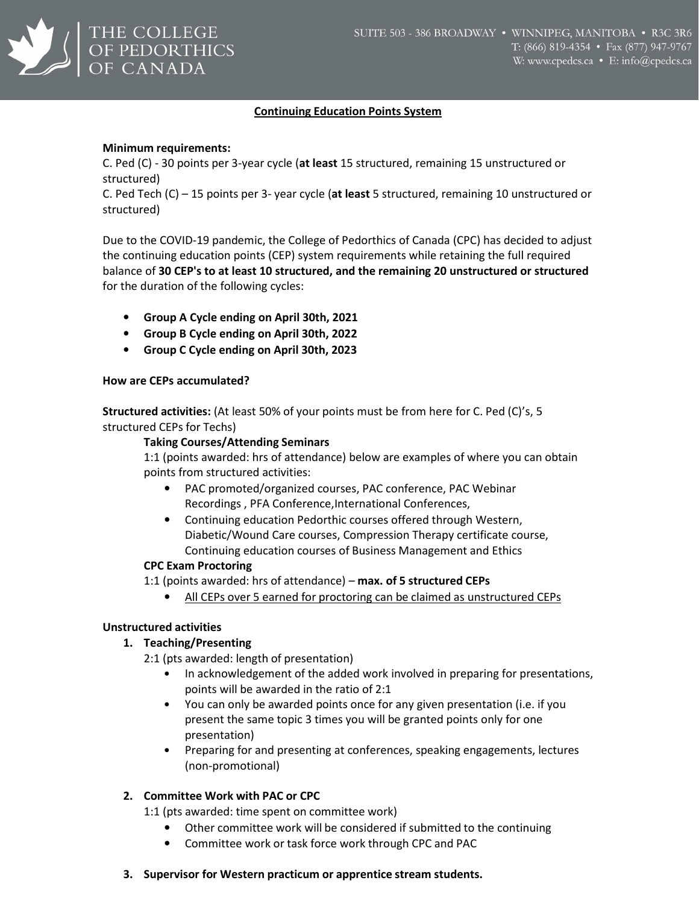

## Continuing Education Points System

### Minimum requirements:

C. Ped (C) - 30 points per 3-year cycle (at least 15 structured, remaining 15 unstructured or structured)

C. Ped Tech (C) – 15 points per 3- year cycle (at least 5 structured, remaining 10 unstructured or structured)

Due to the COVID-19 pandemic, the College of Pedorthics of Canada (CPC) has decided to adjust the continuing education points (CEP) system requirements while retaining the full required balance of 30 CEP's to at least 10 structured, and the remaining 20 unstructured or structured for the duration of the following cycles:

- Group A Cycle ending on April 30th, 2021
- Group B Cycle ending on April 30th, 2022
- Group C Cycle ending on April 30th, 2023

### How are CEPs accumulated?

Structured activities: (At least 50% of your points must be from here for C. Ped (C)'s, 5 structured CEPs for Techs)

### Taking Courses/Attending Seminars

1:1 (points awarded: hrs of attendance) below are examples of where you can obtain points from structured activities:

- PAC promoted/organized courses, PAC conference, PAC Webinar Recordings , PFA Conference, International Conferences,
- Continuing education Pedorthic courses offered through Western, Diabetic/Wound Care courses, Compression Therapy certificate course, Continuing education courses of Business Management and Ethics

## CPC Exam Proctoring

1:1 (points awarded: hrs of attendance) – max. of 5 structured CEPs

• All CEPs over 5 earned for proctoring can be claimed as unstructured CEPs

## Unstructured activities

## 1. Teaching/Presenting

2:1 (pts awarded: length of presentation)

- In acknowledgement of the added work involved in preparing for presentations, points will be awarded in the ratio of 2:1
- You can only be awarded points once for any given presentation (i.e. if you present the same topic 3 times you will be granted points only for one presentation)
- Preparing for and presenting at conferences, speaking engagements, lectures (non-promotional)

## 2. Committee Work with PAC or CPC

1:1 (pts awarded: time spent on committee work)

- Other committee work will be considered if submitted to the continuing
- Committee work or task force work through CPC and PAC

## 3. Supervisor for Western practicum or apprentice stream students.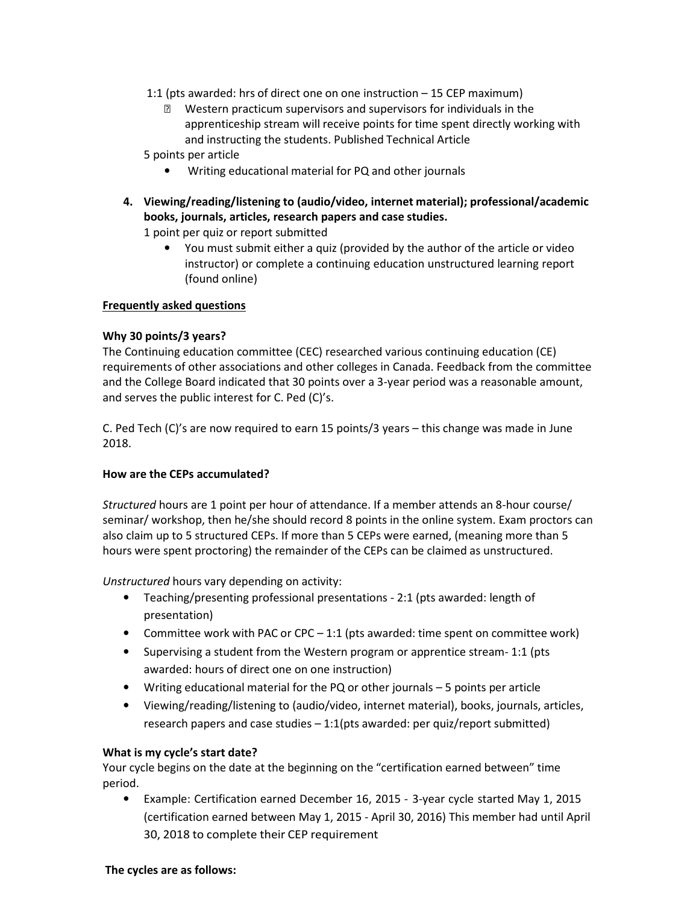- 1:1 (pts awarded: hrs of direct one on one instruction 15 CEP maximum)
	- Western practicum supervisors and supervisors for individuals in the apprenticeship stream will receive points for time spent directly working with and instructing the students. Published Technical Article

5 points per article

- Writing educational material for PQ and other journals
- 4. Viewing/reading/listening to (audio/video, internet material); professional/academic books, journals, articles, research papers and case studies.

1 point per quiz or report submitted

• You must submit either a quiz (provided by the author of the article or video instructor) or complete a continuing education unstructured learning report (found online)

## Frequently asked questions

## Why 30 points/3 years?

The Continuing education committee (CEC) researched various continuing education (CE) requirements of other associations and other colleges in Canada. Feedback from the committee and the College Board indicated that 30 points over a 3-year period was a reasonable amount, and serves the public interest for C. Ped (C)'s.

C. Ped Tech (C)'s are now required to earn 15 points/3 years – this change was made in June 2018.

# How are the CEPs accumulated?

Structured hours are 1 point per hour of attendance. If a member attends an 8-hour course/ seminar/ workshop, then he/she should record 8 points in the online system. Exam proctors can also claim up to 5 structured CEPs. If more than 5 CEPs were earned, (meaning more than 5 hours were spent proctoring) the remainder of the CEPs can be claimed as unstructured.

Unstructured hours vary depending on activity:

- Teaching/presenting professional presentations 2:1 (pts awarded: length of presentation)
- Committee work with PAC or CPC 1:1 (pts awarded: time spent on committee work)
- Supervising a student from the Western program or apprentice stream- 1:1 (pts awarded: hours of direct one on one instruction)
- Writing educational material for the PQ or other journals 5 points per article
- Viewing/reading/listening to (audio/video, internet material), books, journals, articles, research papers and case studies – 1:1(pts awarded: per quiz/report submitted)

## What is my cycle's start date?

Your cycle begins on the date at the beginning on the "certification earned between" time period.

• Example: Certification earned December 16, 2015 - 3-year cycle started May 1, 2015 (certification earned between May 1, 2015 - April 30, 2016) This member had until April 30, 2018 to complete their CEP requirement

#### The cycles are as follows: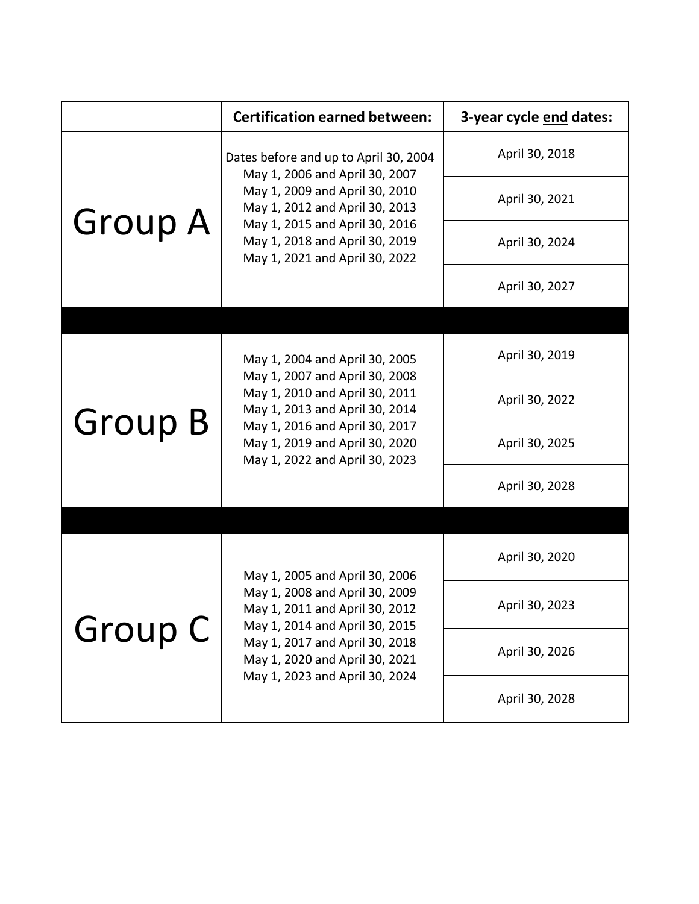|                | <b>Certification earned between:</b>                                                                                                                                                                                                              | 3-year cycle end dates: |
|----------------|---------------------------------------------------------------------------------------------------------------------------------------------------------------------------------------------------------------------------------------------------|-------------------------|
| <b>Group A</b> | Dates before and up to April 30, 2004<br>May 1, 2006 and April 30, 2007<br>May 1, 2009 and April 30, 2010<br>May 1, 2012 and April 30, 2013<br>May 1, 2015 and April 30, 2016<br>May 1, 2018 and April 30, 2019<br>May 1, 2021 and April 30, 2022 | April 30, 2018          |
|                |                                                                                                                                                                                                                                                   | April 30, 2021          |
|                |                                                                                                                                                                                                                                                   | April 30, 2024          |
|                |                                                                                                                                                                                                                                                   | April 30, 2027          |
|                |                                                                                                                                                                                                                                                   |                         |
| <b>Group B</b> | May 1, 2004 and April 30, 2005<br>May 1, 2007 and April 30, 2008<br>May 1, 2010 and April 30, 2011<br>May 1, 2013 and April 30, 2014<br>May 1, 2016 and April 30, 2017<br>May 1, 2019 and April 30, 2020<br>May 1, 2022 and April 30, 2023        | April 30, 2019          |
|                |                                                                                                                                                                                                                                                   | April 30, 2022          |
|                |                                                                                                                                                                                                                                                   | April 30, 2025          |
|                |                                                                                                                                                                                                                                                   | April 30, 2028          |
|                |                                                                                                                                                                                                                                                   |                         |
| <b>Group C</b> | May 1, 2005 and April 30, 2006<br>May 1, 2008 and April 30, 2009<br>May 1, 2011 and April 30, 2012<br>May 1, 2014 and April 30, 2015<br>May 1, 2017 and April 30, 2018<br>May 1, 2020 and April 30, 2021<br>May 1, 2023 and April 30, 2024        | April 30, 2020          |
|                |                                                                                                                                                                                                                                                   | April 30, 2023          |
|                |                                                                                                                                                                                                                                                   | April 30, 2026          |
|                |                                                                                                                                                                                                                                                   | April 30, 2028          |